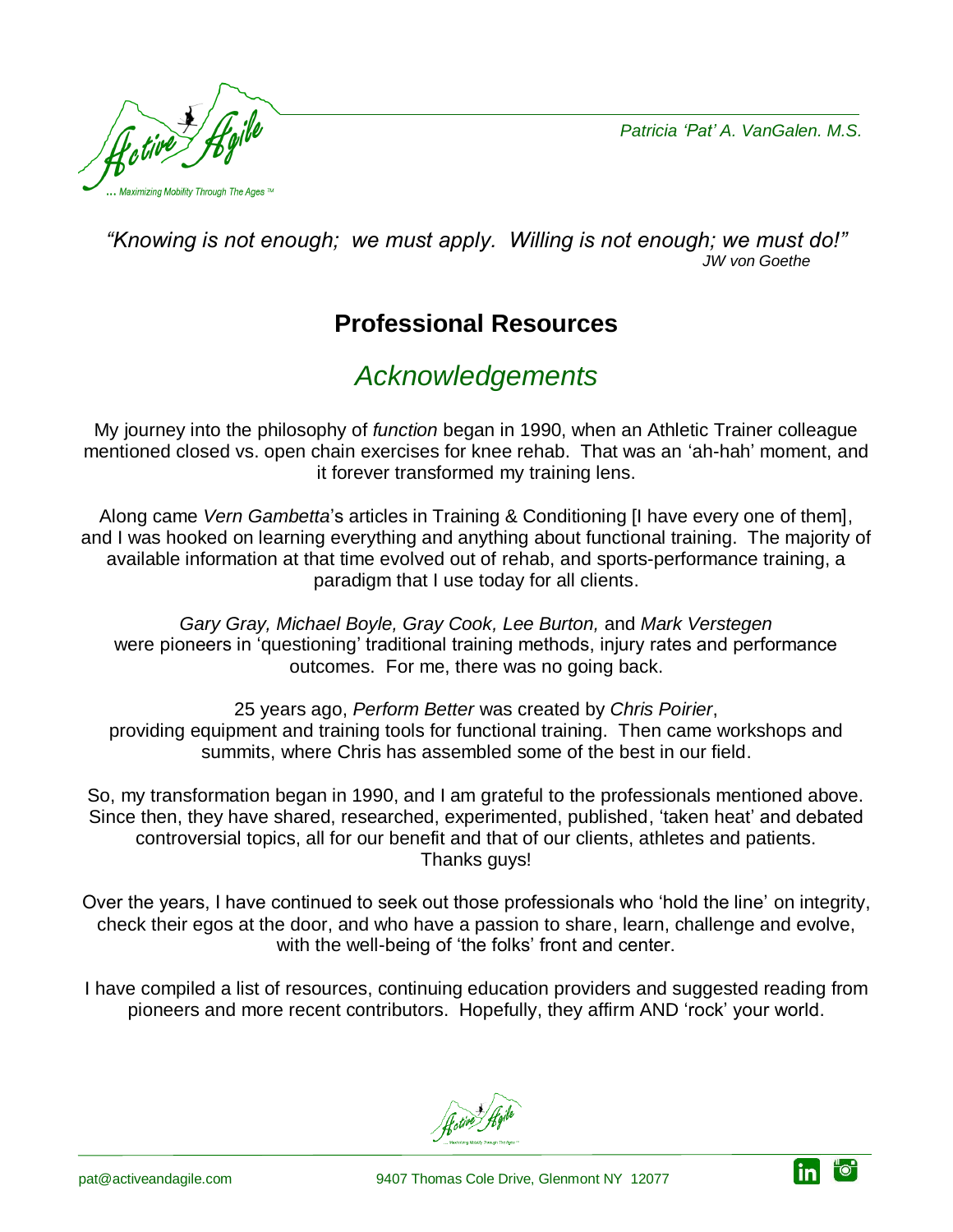*Patricia 'Pat' A. VanGalen. M.S.*

"o"

<u>in</u>



*"Knowing is not enough; we must apply. Willing is not enough; we must do!" JW von Goethe*

# **Professional Resources**

# *Acknowledgements*

My journey into the philosophy of *function* began in 1990, when an Athletic Trainer colleague mentioned closed vs. open chain exercises for knee rehab. That was an 'ah-hah' moment, and it forever transformed my training lens.

Along came *Vern Gambetta*'s articles in Training & Conditioning [I have every one of them], and I was hooked on learning everything and anything about functional training. The majority of available information at that time evolved out of rehab, and sports-performance training, a paradigm that I use today for all clients.

*Gary Gray, Michael Boyle, Gray Cook, Lee Burton,* and *Mark Verstegen* were pioneers in 'questioning' traditional training methods, injury rates and performance outcomes. For me, there was no going back.

25 years ago, *Perform Better* was created by *Chris Poirier*, providing equipment and training tools for functional training. Then came workshops and summits, where Chris has assembled some of the best in our field.

So, my transformation began in 1990, and I am grateful to the professionals mentioned above. Since then, they have shared, researched, experimented, published, 'taken heat' and debated controversial topics, all for our benefit and that of our clients, athletes and patients. Thanks guys!

Over the years, I have continued to seek out those professionals who 'hold the line' on integrity, check their egos at the door, and who have a passion to share, learn, challenge and evolve, with the well-being of 'the folks' front and center.

I have compiled a list of resources, continuing education providers and suggested reading from pioneers and more recent contributors. Hopefully, they affirm AND 'rock' your world.